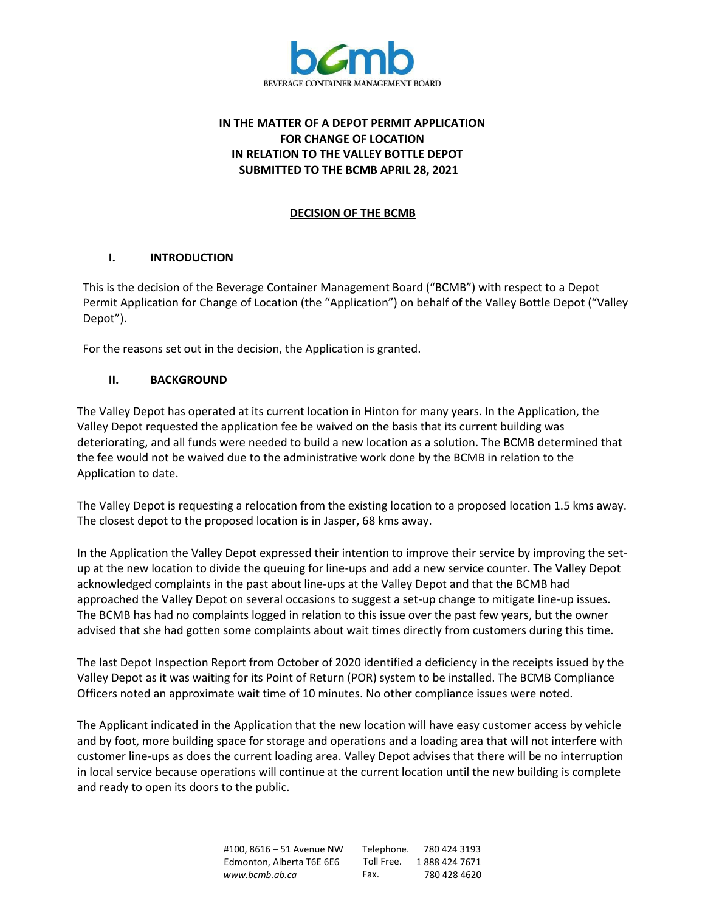

# **IN THE MATTER OF A DEPOT PERMIT APPLICATION FOR CHANGE OF LOCATION IN RELATION TO THE VALLEY BOTTLE DEPOT SUBMITTED TO THE BCMB APRIL 28, 2021**

## **DECISION OF THE BCMB**

## **I. INTRODUCTION**

This is the decision of the Beverage Container Management Board ("BCMB") with respect to a Depot Permit Application for Change of Location (the "Application") on behalf of the Valley Bottle Depot ("Valley Depot").

For the reasons set out in the decision, the Application is granted.

## **II. BACKGROUND**

The Valley Depot has operated at its current location in Hinton for many years. In the Application, the Valley Depot requested the application fee be waived on the basis that its current building was deteriorating, and all funds were needed to build a new location as a solution. The BCMB determined that the fee would not be waived due to the administrative work done by the BCMB in relation to the Application to date.

The Valley Depot is requesting a relocation from the existing location to a proposed location 1.5 kms away. The closest depot to the proposed location is in Jasper, 68 kms away.

In the Application the Valley Depot expressed their intention to improve their service by improving the setup at the new location to divide the queuing for line-ups and add a new service counter. The Valley Depot acknowledged complaints in the past about line-ups at the Valley Depot and that the BCMB had approached the Valley Depot on several occasions to suggest a set-up change to mitigate line-up issues. The BCMB has had no complaints logged in relation to this issue over the past few years, but the owner advised that she had gotten some complaints about wait times directly from customers during this time.

The last Depot Inspection Report from October of 2020 identified a deficiency in the receipts issued by the Valley Depot as it was waiting for its Point of Return (POR) system to be installed. The BCMB Compliance Officers noted an approximate wait time of 10 minutes. No other compliance issues were noted.

The Applicant indicated in the Application that the new location will have easy customer access by vehicle and by foot, more building space for storage and operations and a loading area that will not interfere with customer line-ups as does the current loading area. Valley Depot advises that there will be no interruption in local service because operations will continue at the current location until the new building is complete and ready to open its doors to the public.

> #100, 8616 – 51 Avenue NW Edmonton, Alberta T6E 6E6 *[www.bcmb.ab.ca](http://www.bcmb.ab.ca/)* Telephone. 780 424 3193 Toll Free. 1 888 424 7671 Fax. 780 428 4620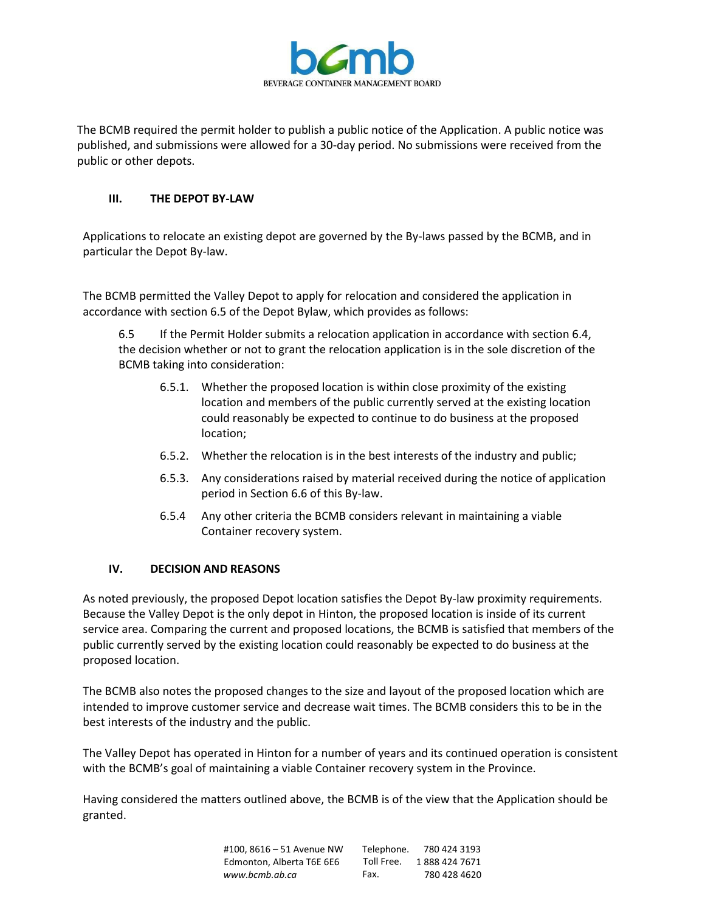

The BCMB required the permit holder to publish a public notice of the Application. A public notice was published, and submissions were allowed for a 30-day period. No submissions were received from the public or other depots.

## **III. THE DEPOT BY-LAW**

Applications to relocate an existing depot are governed by the By-laws passed by the BCMB, and in particular the Depot By-law.

The BCMB permitted the Valley Depot to apply for relocation and considered the application in accordance with section 6.5 of the Depot Bylaw, which provides as follows:

6.5 If the Permit Holder submits a relocation application in accordance with section 6.4, the decision whether or not to grant the relocation application is in the sole discretion of the BCMB taking into consideration:

- 6.5.1. Whether the proposed location is within close proximity of the existing location and members of the public currently served at the existing location could reasonably be expected to continue to do business at the proposed location;
- 6.5.2. Whether the relocation is in the best interests of the industry and public;
- 6.5.3. Any considerations raised by material received during the notice of application period in Section 6.6 of this By-law.
- 6.5.4 Any other criteria the BCMB considers relevant in maintaining a viable Container recovery system.

#### **IV. DECISION AND REASONS**

As noted previously, the proposed Depot location satisfies the Depot By-law proximity requirements. Because the Valley Depot is the only depot in Hinton, the proposed location is inside of its current service area. Comparing the current and proposed locations, the BCMB is satisfied that members of the public currently served by the existing location could reasonably be expected to do business at the proposed location.

The BCMB also notes the proposed changes to the size and layout of the proposed location which are intended to improve customer service and decrease wait times. The BCMB considers this to be in the best interests of the industry and the public.

The Valley Depot has operated in Hinton for a number of years and its continued operation is consistent with the BCMB's goal of maintaining a viable Container recovery system in the Province.

Having considered the matters outlined above, the BCMB is of the view that the Application should be granted.

| #100, 8616 - 51 Avenue NW | Telephone. | 780 424 3193  |
|---------------------------|------------|---------------|
| Edmonton, Alberta T6E 6E6 | Toll Free. | 1888 424 7671 |
| www.bcmb.ab.ca            | Fax.       | 780 428 4620  |